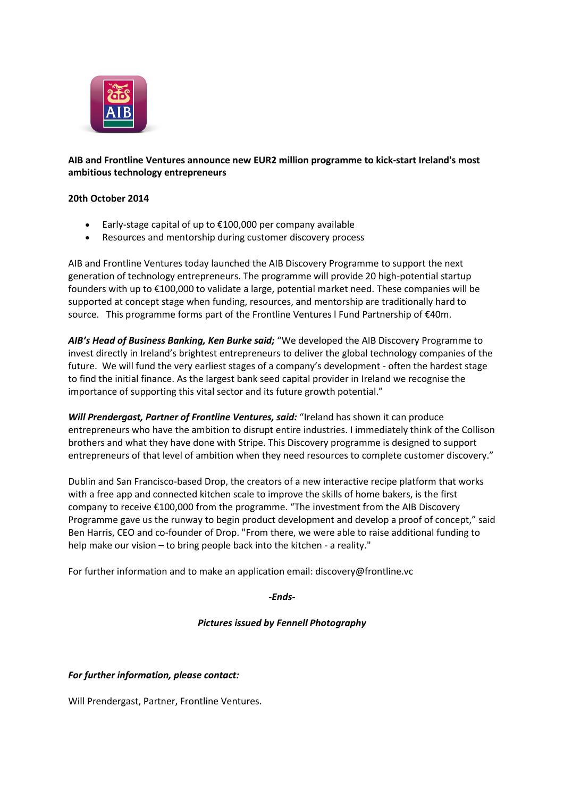

# **AIB and Frontline Ventures announce new EUR2 million programme to kick-start Ireland's most ambitious technology entrepreneurs**

### **20th October 2014**

- Early-stage capital of up to €100,000 per company available
- Resources and mentorship during customer discovery process

AIB and Frontline Ventures today launched the AIB Discovery Programme to support the next generation of technology entrepreneurs. The programme will provide 20 high-potential startup founders with up to €100,000 to validate a large, potential market need. These companies will be supported at concept stage when funding, resources, and mentorship are traditionally hard to source. This programme forms part of the Frontline Ventures l Fund Partnership of €40m.

AIB's Head of Business Banking, Ken Burke said; "We developed the AIB Discovery Programme to invest directly in Ireland's brightest entrepreneurs to deliver the global technology companies of the future. We will fund the very earliest stages of a company's development - often the hardest stage to find the initial finance. As the largest bank seed capital provider in Ireland we recognise the importance of supporting this vital sector and its future growth potential."

*Will Prendergast, Partner of Frontline Ventures, said:* "Ireland has shown it can produce entrepreneurs who have the ambition to disrupt entire industries. I immediately think of the Collison brothers and what they have done with Stripe. This Discovery programme is designed to support entrepreneurs of that level of ambition when they need resources to complete customer discovery."

Dublin and San Francisco-based Drop, the creators of a new interactive recipe platform that works with a free app and connected kitchen scale to improve the skills of home bakers, is the first company to receive €100,000 from the programme. "The investment from the AIB Discovery Programme gave us the runway to begin product development and develop a proof of concept," said Ben Harris, CEO and co-founder of Drop. "From there, we were able to raise additional funding to help make our vision – to bring people back into the kitchen - a reality."

For further information and to make an application email: discovery@frontline.vc

*-Ends-*

### *Pictures issued by Fennell Photography*

# *For further information, please contact:*

Will Prendergast, Partner, Frontline Ventures.